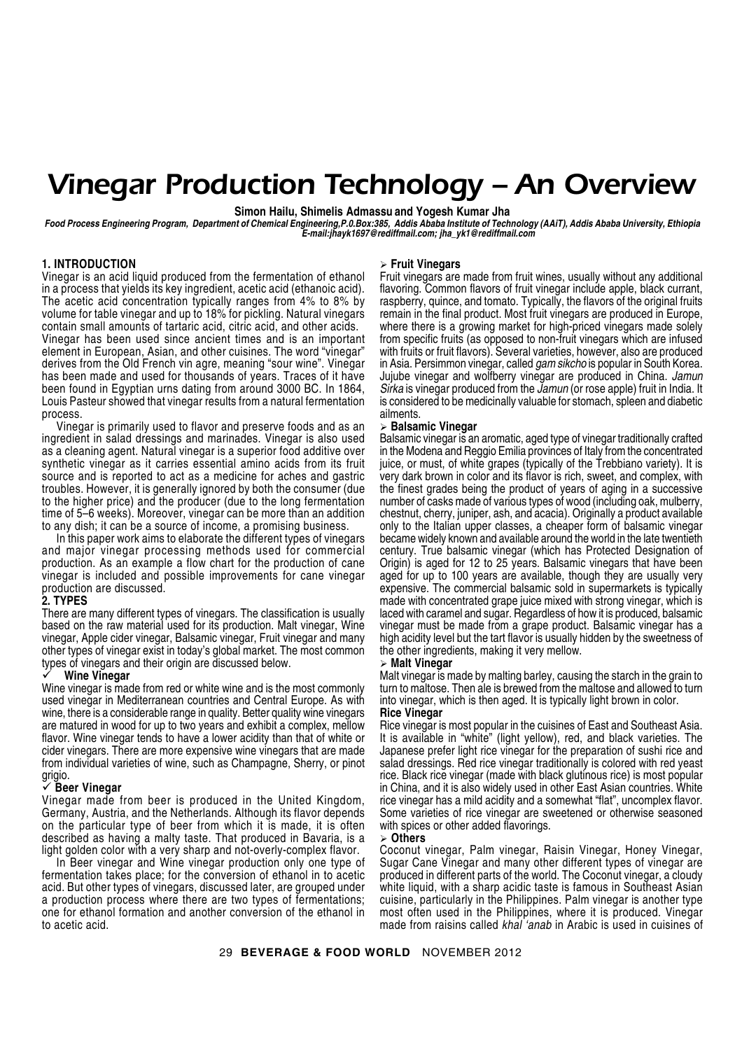# *Vinegar Production Technology – An Overview*

**Simon Hailu, Shimelis Admassu and Yogesh Kumar Jha**

*Food Process Engineering Program, Department of Chemical Engineering,P.0.Box:385, Addis Ababa Institute of Technology (AAiT), Addis Ababa University, Ethiopia E-mail:jhayk1697@rediffmail.com; jha\_yk1@rediffmail.com*

#### **1. INTRODUCTION**

Vinegar is an acid liquid produced from the fermentation of ethanol in a process that yields its key ingredient, acetic acid (ethanoic acid). The acetic acid concentration typically ranges from 4% to 8% by volume for table vinegar and up to 18% for pickling. Natural vinegars contain small amounts of tartaric acid, citric acid, and other acids.

Vinegar has been used since ancient times and is an important element in European, Asian, and other cuisines. The word "vinegar" derives from the Old French vin agre, meaning "sour wine". Vinegar has been made and used for thousands of years. Traces of it have been found in Egyptian urns dating from around 3000 BC. In 1864, Louis Pasteur showed that vinegar results from a natural fermentation process.

Vinegar is primarily used to flavor and preserve foods and as an ingredient in salad dressings and marinades. Vinegar is also used as a cleaning agent. Natural vinegar is a superior food additive over synthetic vinegar as it carries essential amino acids from its fruit source and is reported to act as a medicine for aches and gastric troubles. However, it is generally ignored by both the consumer (due to the higher price) and the producer (due to the long fermentation time of 5–6 weeks). Moreover, vinegar can be more than an addition to any dish; it can be a source of income, a promising business.

In this paper work aims to elaborate the different types of vinegars and major vinegar processing methods used for commercial production. As an example a flow chart for the production of cane vinegar is included and possible improvements for cane vinegar production are discussed.

#### **2. TYPES**

There are many different types of vinegars. The classification is usually based on the raw material used for its production. Malt vinegar, Wine vinegar, Apple cider vinegar, Balsamic vinegar, Fruit vinegar and many other types of vinegar exist in today's global market. The most common types of vinegars and their origin are discussed below.

#### 9 **Wine Vinegar**

Wine vinegar is made from red or white wine and is the most commonly used vinegar in Mediterranean countries and Central Europe. As with wine, there is a considerable range in quality. Better quality wine vinegars are matured in wood for up to two years and exhibit a complex, mellow flavor. Wine vinegar tends to have a lower acidity than that of white or cider vinegars. There are more expensive wine vinegars that are made from individual varieties of wine, such as Champagne, Sherry, or pinot grigio.

#### 9 **Beer Vinegar**

Vinegar made from beer is produced in the United Kingdom, Germany, Austria, and the Netherlands. Although its flavor depends on the particular type of beer from which it is made, it is often described as having a malty taste. That produced in Bavaria, is a light golden color with a very sharp and not-overly-complex flavor.

In Beer vinegar and Wine vinegar production only one type of fermentation takes place; for the conversion of ethanol in to acetic acid. But other types of vinegars, discussed later, are grouped under a production process where there are two types of fermentations; one for ethanol formation and another conversion of the ethanol in to acetic acid.

#### ¾ **Fruit Vinegars**

Fruit vinegars are made from fruit wines, usually without any additional flavoring. Common flavors of fruit vinegar include apple, black currant, raspberry, quince, and tomato. Typically, the flavors of the original fruits remain in the final product. Most fruit vinegars are produced in Europe, where there is a growing market for high-priced vinegars made solely from specific fruits (as opposed to non-fruit vinegars which are infused with fruits or fruit flavors). Several varieties, however, also are produced in Asia. Persimmon vinegar, called *gam sikcho* is popular in South Korea. Jujube vinegar and wolfberry vinegar are produced in China. *Jamun Sirka* is vinegar produced from the *Jamun* (or rose apple) fruit in India. It is considered to be medicinally valuable for stomach, spleen and diabetic ailments.

#### ¾ **Balsamic Vinegar**

Balsamic vinegar is an aromatic, aged type of vinegar traditionally crafted in the Modena and Reggio Emilia provinces of Italy from the concentrated juice, or must, of white grapes (typically of the Trebbiano variety). It is very dark brown in color and its flavor is rich, sweet, and complex, with the finest grades being the product of years of aging in a successive number of casks made of various types of wood (including oak, mulberry, chestnut, cherry, juniper, ash, and acacia). Originally a product available only to the Italian upper classes, a cheaper form of balsamic vinegar became widely known and available around the world in the late twentieth century. True balsamic vinegar (which has Protected Designation of Origin) is aged for 12 to 25 years. Balsamic vinegars that have been aged for up to 100 years are available, though they are usually very expensive. The commercial balsamic sold in supermarkets is typically made with concentrated grape juice mixed with strong vinegar, which is laced with caramel and sugar. Regardless of how it is produced, balsamic vinegar must be made from a grape product. Balsamic vinegar has a high acidity level but the tart flavor is usually hidden by the sweetness of the other ingredients, making it very mellow.

#### ¾ **Malt Vinegar**

Malt vinegar is made by malting barley, causing the starch in the grain to turn to maltose. Then ale is brewed from the maltose and allowed to turn into vinegar, which is then aged. It is typically light brown in color. **Rice Vinegar**

Rice vinegar is most popular in the cuisines of East and Southeast Asia. It is available in "white" (light yellow), red, and black varieties. The Japanese prefer light rice vinegar for the preparation of sushi rice and salad dressings. Red rice vinegar traditionally is colored with red yeast rice. Black rice vinegar (made with black glutinous rice) is most popular in China, and it is also widely used in other East Asian countries. White rice vinegar has a mild acidity and a somewhat "flat", uncomplex flavor. Some varieties of rice vinegar are sweetened or otherwise seasoned with spices or other added flavorings.

#### ¾ **Others**

Coconut vinegar, Palm vinegar, Raisin Vinegar, Honey Vinegar, Sugar Cane Vinegar and many other different types of vinegar are produced in different parts of the world. The Coconut vinegar, a cloudy white liquid, with a sharp acidic taste is famous in Southeast Asian cuisine, particularly in the Philippines. Palm vinegar is another type most often used in the Philippines, where it is produced. Vinegar made from raisins called *khal 'anab* in Arabic is used in cuisines of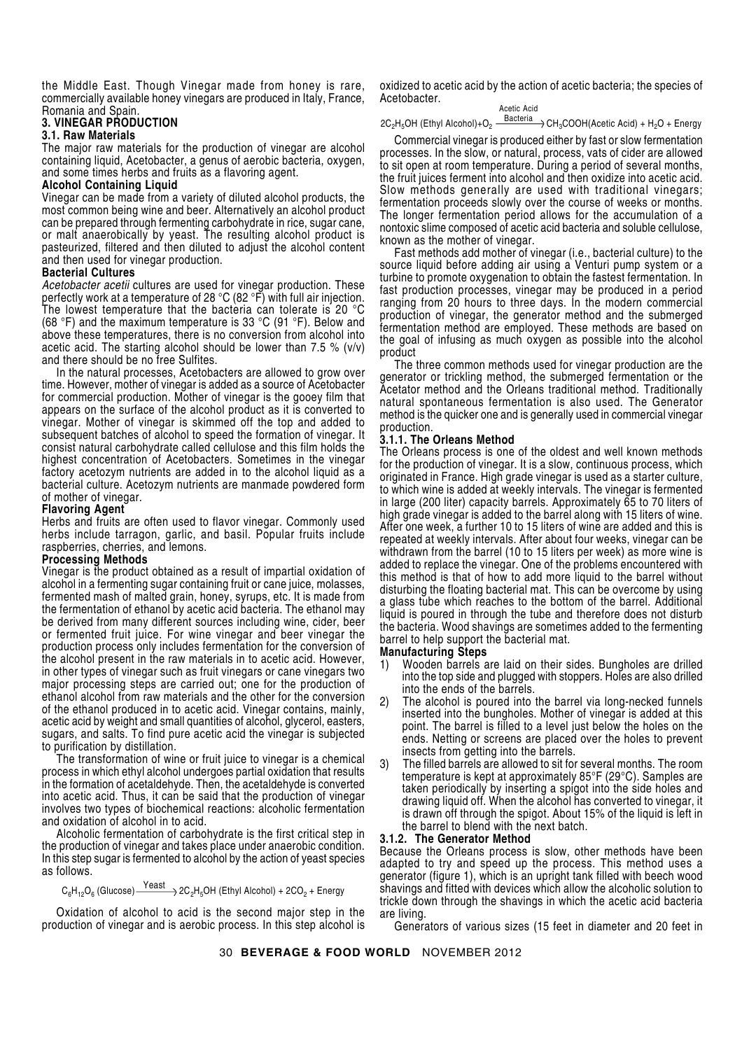the Middle East. Though Vinegar made from honey is rare, commercially available honey vinegars are produced in Italy, France, Romania and Spain.

# **3. VINEGAR PRODUCTION**

#### **3.1. Raw Materials**

The major raw materials for the production of vinegar are alcohol containing liquid, Acetobacter, a genus of aerobic bacteria, oxygen, and some times herbs and fruits as a flavoring agent.

#### **Alcohol Containing Liquid**

Vinegar can be made from a variety of diluted alcohol products, the most common being wine and beer. Alternatively an alcohol product can be prepared through fermenting carbohydrate in rice, sugar cane, or malt anaerobically by yeast. The resulting alcohol product is pasteurized, filtered and then diluted to adjust the alcohol content and then used for vinegar production.

# **Bacterial Cultures**

*Acetobacter acetii* cultures are used for vinegar production. These perfectly work at a temperature of 28 °C (82 °F) with full air injection. The lowest temperature that the bacteria can tolerate is 20 °C (68 °F) and the maximum temperature is 33 °C (91 °F). Below and above these temperatures, there is no conversion from alcohol into acetic acid. The starting alcohol should be lower than 7.5 % (v/v) and there should be no free Sulfites.

In the natural processes, Acetobacters are allowed to grow over time. However, mother of vinegar is added as a source of Acetobacter for commercial production. Mother of vinegar is the gooey film that appears on the surface of the alcohol product as it is converted to vinegar. Mother of vinegar is skimmed off the top and added to subsequent batches of alcohol to speed the formation of vinegar. It consist natural carbohydrate called cellulose and this film holds the highest concentration of Acetobacters. Sometimes in the vinegar factory acetozym nutrients are added in to the alcohol liquid as a bacterial culture. Acetozym nutrients are manmade powdered form of mother of vinegar.

# **Flavoring Agent**

Herbs and fruits are often used to flavor vinegar. Commonly used herbs include tarragon, garlic, and basil. Popular fruits include raspberries, cherries, and lemons.

#### **Processing Methods**

Vinegar is the product obtained as a result of impartial oxidation of alcohol in a fermenting sugar containing fruit or cane juice, molasses, fermented mash of malted grain, honey, syrups, etc. It is made from the fermentation of ethanol by acetic acid bacteria. The ethanol may be derived from many different sources including wine, cider, beer or fermented fruit juice. For wine vinegar and beer vinegar the production process only includes fermentation for the conversion of the alcohol present in the raw materials in to acetic acid. However, in other types of vinegar such as fruit vinegars or cane vinegars two major processing steps are carried out; one for the production of ethanol alcohol from raw materials and the other for the conversion of the ethanol produced in to acetic acid. Vinegar contains, mainly, acetic acid by weight and small quantities of alcohol, glycerol, easters, sugars, and salts. To find pure acetic acid the vinegar is subjected to purification by distillation.

The transformation of wine or fruit juice to vinegar is a chemical process in which ethyl alcohol undergoes partial oxidation that results in the formation of acetaldehyde. Then, the acetaldehyde is converted into acetic acid. Thus, it can be said that the production of vinegar involves two types of biochemical reactions: alcoholic fermentation and oxidation of alcohol in to acid.

Alcoholic fermentation of carbohydrate is the first critical step in the production of vinegar and takes place under anaerobic condition. In this step sugar is fermented to alcohol by the action of yeast species as follows.

 $C_6H_{12}O_6$  (Glucose)  $\xrightarrow{\text{Yeast}}$  2C<sub>2</sub>H<sub>5</sub>OH (Ethyl Alcohol) + 2CO<sub>2</sub> + Energy

Oxidation of alcohol to acid is the second major step in the production of vinegar and is aerobic process. In this step alcohol is

oxidized to acetic acid by the action of acetic bacteria; the species of Acetobacter.

# Acetic Acid

# 2C<sub>2</sub>H<sub>5</sub>OH (Ethyl Alcohol)+O $_2$   $\frac{\text{Bacteria}}{\text{Bacteria}}$   $\rightarrow$  CH $_3$ COOH(Acetic Acid) + H $_2$ O + Energy

Commercial vinegar is produced either by fast or slow fermentation processes. In the slow, or natural, process, vats of cider are allowed to sit open at room temperature. During a period of several months, the fruit juices ferment into alcohol and then oxidize into acetic acid. Slow methods generally are used with traditional vinegars; fermentation proceeds slowly over the course of weeks or months. The longer fermentation period allows for the accumulation of a nontoxic slime composed of acetic acid bacteria and soluble cellulose, known as the mother of vinegar.

Fast methods add mother of vinegar (i.e., bacterial culture) to the source liquid before adding air using a Venturi pump system or a turbine to promote oxygenation to obtain the fastest fermentation. In fast production processes, vinegar may be produced in a period ranging from 20 hours to three days. In the modern commercial production of vinegar, the generator method and the submerged fermentation method are employed. These methods are based on the goal of infusing as much oxygen as possible into the alcohol product

The three common methods used for vinegar production are the generator or trickling method, the submerged fermentation or the Acetator method and the Orleans traditional method. Traditionally natural spontaneous fermentation is also used. The Generator method is the quicker one and is generally used in commercial vinegar production.

# **3.1.1. The Orleans Method**

The Orleans process is one of the oldest and well known methods for the production of vinegar. It is a slow, continuous process, which originated in France. High grade vinegar is used as a starter culture, to which wine is added at weekly intervals. The vinegar is fermented in large (200 liter) capacity barrels. Approximately 65 to 70 liters of high grade vinegar is added to the barrel along with 15 liters of wine. After one week, a further 10 to 15 liters of wine are added and this is repeated at weekly intervals. After about four weeks, vinegar can be withdrawn from the barrel (10 to 15 liters per week) as more wine is added to replace the vinegar. One of the problems encountered with this method is that of how to add more liquid to the barrel without disturbing the floating bacterial mat. This can be overcome by using a glass tube which reaches to the bottom of the barrel. Additional liquid is poured in through the tube and therefore does not disturb the bacteria. Wood shavings are sometimes added to the fermenting barrel to help support the bacterial mat.

# **Manufacturing Steps**

- 1) Wooden barrels are laid on their sides. Bungholes are drilled into the top side and plugged with stoppers. Holes are also drilled into the ends of the barrels.
- 2) The alcohol is poured into the barrel via long-necked funnels inserted into the bungholes. Mother of vinegar is added at this point. The barrel is filled to a level just below the holes on the ends. Netting or screens are placed over the holes to prevent insects from getting into the barrels.
- 3) The filled barrels are allowed to sit for several months. The room temperature is kept at approximately 85°F (29°C). Samples are taken periodically by inserting a spigot into the side holes and drawing liquid off. When the alcohol has converted to vinegar, it is drawn off through the spigot. About 15% of the liquid is left in the barrel to blend with the next batch.

# **3.1.2. The Generator Method**

Because the Orleans process is slow, other methods have been adapted to try and speed up the process. This method uses a generator (figure 1), which is an upright tank filled with beech wood shavings and fitted with devices which allow the alcoholic solution to trickle down through the shavings in which the acetic acid bacteria are living.

Generators of various sizes (15 feet in diameter and 20 feet in

30 **BEVERAGE & FOOD WORLD** NOVEMBER 2012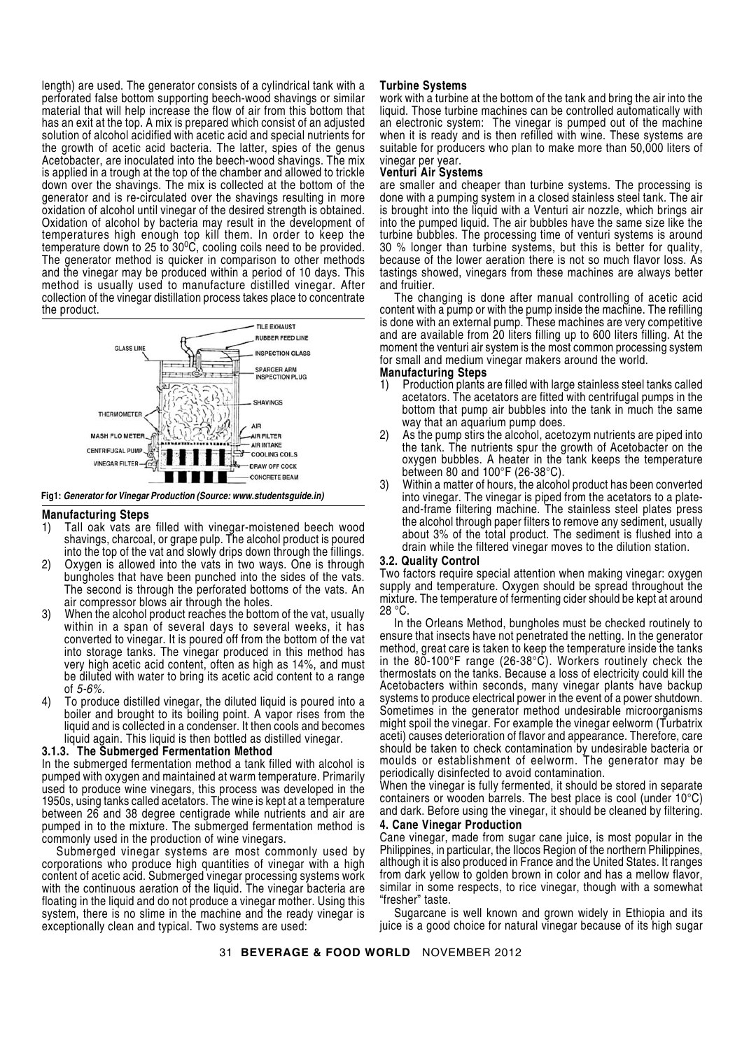length) are used. The generator consists of a cylindrical tank with a perforated false bottom supporting beech-wood shavings or similar material that will help increase the flow of air from this bottom that has an exit at the top. A mix is prepared which consist of an adjusted solution of alcohol acidified with acetic acid and special nutrients for the growth of acetic acid bacteria. The latter, spies of the genus Acetobacter, are inoculated into the beech-wood shavings. The mix is applied in a trough at the top of the chamber and allowed to trickle down over the shavings. The mix is collected at the bottom of the generator and is re-circulated over the shavings resulting in more oxidation of alcohol until vinegar of the desired strength is obtained. Oxidation of alcohol by bacteria may result in the development of temperatures high enough top kill them. In order to keep the temperature down to 25 to 30<sup>o</sup>C, cooling coils need to be provided. The generator method is quicker in comparison to other methods and the vinegar may be produced within a period of 10 days. This method is usually used to manufacture distilled vinegar. After collection of the vinegar distillation process takes place to concentrate the product.



**Fig1:** *Generator for Vinegar Production (Source: www.studentsguide.in)*

#### **Manufacturing Steps**

- 1) Tall oak vats are filled with vinegar-moistened beech wood shavings, charcoal, or grape pulp. The alcohol product is poured into the top of the vat and slowly drips down through the fillings.
- 2) Oxygen is allowed into the vats in two ways. One is through bungholes that have been punched into the sides of the vats. The second is through the perforated bottoms of the vats. An air compressor blows air through the holes.
- 3) When the alcohol product reaches the bottom of the vat, usually within in a span of several days to several weeks, it has converted to vinegar. It is poured off from the bottom of the vat into storage tanks. The vinegar produced in this method has very high acetic acid content, often as high as 14%, and must be diluted with water to bring its acetic acid content to a range of *5-6%.*
- 4) To produce distilled vinegar, the diluted liquid is poured into a boiler and brought to its boiling point. A vapor rises from the liquid and is collected in a condenser. It then cools and becomes liquid again. This liquid is then bottled as distilled vinegar.

# **3.1.3. The Submerged Fermentation Method**

In the submerged fermentation method a tank filled with alcohol is pumped with oxygen and maintained at warm temperature. Primarily used to produce wine vinegars, this process was developed in the 1950s, using tanks called acetators. The wine is kept at a temperature between 26 and 38 degree centigrade while nutrients and air are pumped in to the mixture. The submerged fermentation method is commonly used in the production of wine vinegars.

Submerged vinegar systems are most commonly used by corporations who produce high quantities of vinegar with a high content of acetic acid. Submerged vinegar processing systems work with the continuous aeration of the liquid. The vinegar bacteria are floating in the liquid and do not produce a vinegar mother. Using this system, there is no slime in the machine and the ready vinegar is exceptionally clean and typical. Two systems are used:

#### **Turbine Systems**

work with a turbine at the bottom of the tank and bring the air into the liquid. Those turbine machines can be controlled automatically with an electronic system: The vinegar is pumped out of the machine when it is ready and is then refilled with wine. These systems are suitable for producers who plan to make more than 50,000 liters of vinegar per year.

# **Venturi Air Systems**

are smaller and cheaper than turbine systems. The processing is done with a pumping system in a closed stainless steel tank. The air is brought into the liquid with a Venturi air nozzle, which brings air into the pumped liquid. The air bubbles have the same size like the turbine bubbles. The processing time of venturi systems is around 30 % longer than turbine systems, but this is better for quality, because of the lower aeration there is not so much flavor loss. As tastings showed, vinegars from these machines are always better and fruitier.

The changing is done after manual controlling of acetic acid content with a pump or with the pump inside the machine. The refilling is done with an external pump. These machines are very competitive and are available from 20 liters filling up to 600 liters filling. At the moment the venturi air system is the most common processing system for small and medium vinegar makers around the world.

# **Manufacturing Steps**

- 1) Production plants are filled with large stainless steel tanks called acetators. The acetators are fitted with centrifugal pumps in the bottom that pump air bubbles into the tank in much the same way that an aquarium pump does.
- 2) As the pump stirs the alcohol, acetozym nutrients are piped into the tank. The nutrients spur the growth of Acetobacter on the oxygen bubbles. A heater in the tank keeps the temperature between 80 and 100°F (26-38°C).
- 3) Within a matter of hours, the alcohol product has been converted into vinegar. The vinegar is piped from the acetators to a plateand-frame filtering machine. The stainless steel plates press the alcohol through paper filters to remove any sediment, usually about 3% of the total product. The sediment is flushed into a drain while the filtered vinegar moves to the dilution station.

#### **3.2. Quality Control**

Two factors require special attention when making vinegar: oxygen supply and temperature. Oxygen should be spread throughout the mixture. The temperature of fermenting cider should be kept at around 28 °C.

In the Orleans Method, bungholes must be checked routinely to ensure that insects have not penetrated the netting. In the generator method, great care is taken to keep the temperature inside the tanks in the 80-100°F range (26-38°C). Workers routinely check the thermostats on the tanks. Because a loss of electricity could kill the Acetobacters within seconds, many vinegar plants have backup systems to produce electrical power in the event of a power shutdown. Sometimes in the generator method undesirable microorganisms might spoil the vinegar. For example the vinegar eelworm (Turbatrix aceti) causes deterioration of flavor and appearance. Therefore, care should be taken to check contamination by undesirable bacteria or moulds or establishment of eelworm. The generator may be periodically disinfected to avoid contamination.

When the vinegar is fully fermented, it should be stored in separate containers or wooden barrels. The best place is cool (under 10°C) and dark. Before using the vinegar, it should be cleaned by filtering.

# **4. Cane Vinegar Production**

Cane vinegar, made from sugar cane juice, is most popular in the Philippines, in particular, the Ilocos Region of the northern Philippines, although it is also produced in France and the United States. It ranges from dark yellow to golden brown in color and has a mellow flavor, similar in some respects, to rice vinegar, though with a somewhat "fresher" taste.

Sugarcane is well known and grown widely in Ethiopia and its juice is a good choice for natural vinegar because of its high sugar

31 **BEVERAGE & FOOD WORLD** NOVEMBER 2012